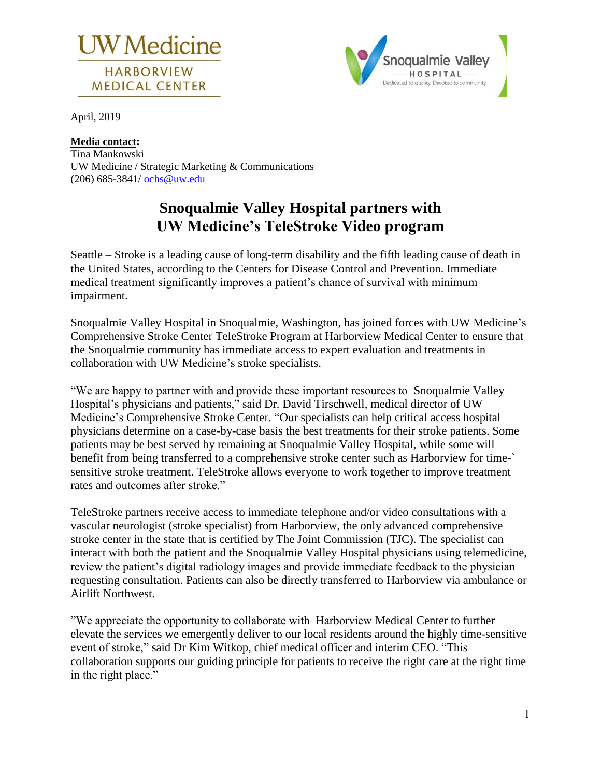



April, 2019

#### **Media contact:**

Tina Mankowski UW Medicine / Strategic Marketing & Communications (206) 685-3841/ [ochs@uw.edu](mailto:ochs@uw.edu)

# **Snoqualmie Valley Hospital partners with UW Medicine's TeleStroke Video program**

Seattle – Stroke is a leading cause of long-term disability and the fifth leading cause of death in the United States, according to the Centers for Disease Control and Prevention. Immediate medical treatment significantly improves a patient's chance of survival with minimum impairment.

Snoqualmie Valley Hospital in Snoqualmie, Washington, has joined forces with UW Medicine's Comprehensive Stroke Center TeleStroke Program at Harborview Medical Center to ensure that the Snoqualmie community has immediate access to expert evaluation and treatments in collaboration with UW Medicine's stroke specialists.

"We are happy to partner with and provide these important resources to Snoqualmie Valley Hospital's physicians and patients," said Dr. David Tirschwell, medical director of UW Medicine's Comprehensive Stroke Center. "Our specialists can help critical access hospital physicians determine on a case-by-case basis the best treatments for their stroke patients. Some patients may be best served by remaining at Snoqualmie Valley Hospital, while some will benefit from being transferred to a comprehensive stroke center such as Harborview for time-` sensitive stroke treatment. TeleStroke allows everyone to work together to improve treatment rates and outcomes after stroke."

TeleStroke partners receive access to immediate telephone and/or video consultations with a vascular neurologist (stroke specialist) from Harborview, the only advanced comprehensive stroke center in the state that is certified by The Joint Commission (TJC). The specialist can interact with both the patient and the Snoqualmie Valley Hospital physicians using telemedicine, review the patient's digital radiology images and provide immediate feedback to the physician requesting consultation. Patients can also be directly transferred to Harborview via ambulance or Airlift Northwest.

"We appreciate the opportunity to collaborate with Harborview Medical Center to further elevate the services we emergently deliver to our local residents around the highly time-sensitive event of stroke," said Dr Kim Witkop, chief medical officer and interim CEO. "This collaboration supports our guiding principle for patients to receive the right care at the right time in the right place."